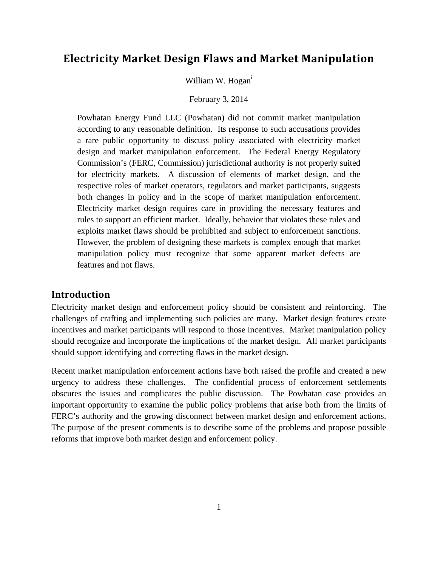# **Electricity Market Design Flaws and Market Manipulation**

William W. Hogan<sup>i</sup>

February 3, 2014

Powhatan Energy Fund LLC (Powhatan) did not commit market manipulation according to any reasonable definition. Its response to such accusations provides a rare public opportunity to discuss policy associated with electricity market design and market manipulation enforcement. The Federal Energy Regulatory Commission's (FERC, Commission) jurisdictional authority is not properly suited for electricity markets. A discussion of elements of market design, and the respective roles of market operators, regulators and market participants, suggests both changes in policy and in the scope of market manipulation enforcement. Electricity market design requires care in providing the necessary features and rules to support an efficient market. Ideally, behavior that violates these rules and exploits market flaws should be prohibited and subject to enforcement sanctions. However, the problem of designing these markets is complex enough that market manipulation policy must recognize that some apparent market defects are features and not flaws.

## **Introduction**

Electricity market design and enforcement policy should be consistent and reinforcing. The challenges of crafting and implementing such policies are many. Market design features create incentives and market participants will respond to those incentives. Market manipulation policy should recognize and incorporate the implications of the market design. All market participants should support identifying and correcting flaws in the market design.

Recent market manipulation enforcement actions have both raised the profile and created a new urgency to address these challenges. The confidential process of enforcement settlements obscures the issues and complicates the public discussion. The Powhatan case provides an important opportunity to examine the public policy problems that arise both from the limits of FERC's authority and the growing disconnect between market design and enforcement actions. The purpose of the present comments is to describe some of the problems and propose possible reforms that improve both market design and enforcement policy.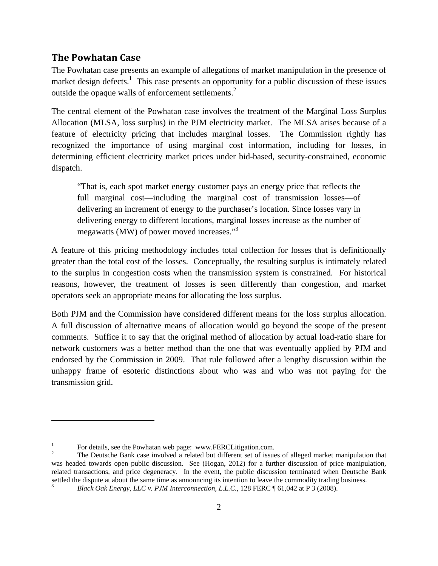## **The Powhatan Case**

The Powhatan case presents an example of allegations of market manipulation in the presence of market design defects.<sup>1</sup> This case presents an opportunity for a public discussion of these issues outside the opaque walls of enforcement settlements. $2$ 

The central element of the Powhatan case involves the treatment of the Marginal Loss Surplus Allocation (MLSA, loss surplus) in the PJM electricity market. The MLSA arises because of a feature of electricity pricing that includes marginal losses. The Commission rightly has recognized the importance of using marginal cost information, including for losses, in determining efficient electricity market prices under bid-based, security-constrained, economic dispatch.

"That is, each spot market energy customer pays an energy price that reflects the full marginal cost—including the marginal cost of transmission losses—of delivering an increment of energy to the purchaser's location. Since losses vary in delivering energy to different locations, marginal losses increase as the number of megawatts (MW) of power moved increases."<sup>3</sup>

A feature of this pricing methodology includes total collection for losses that is definitionally greater than the total cost of the losses. Conceptually, the resulting surplus is intimately related to the surplus in congestion costs when the transmission system is constrained. For historical reasons, however, the treatment of losses is seen differently than congestion, and market operators seek an appropriate means for allocating the loss surplus.

Both PJM and the Commission have considered different means for the loss surplus allocation. A full discussion of alternative means of allocation would go beyond the scope of the present comments. Suffice it to say that the original method of allocation by actual load-ratio share for network customers was a better method than the one that was eventually applied by PJM and endorsed by the Commission in 2009. That rule followed after a lengthy discussion within the unhappy frame of esoteric distinctions about who was and who was not paying for the transmission grid.

<sup>1</sup> For details, see the Powhatan web page: www.FERCLitigation.com.

<sup>2</sup> The Deutsche Bank case involved a related but different set of issues of alleged market manipulation that was headed towards open public discussion. See (Hogan, 2012) for a further discussion of price manipulation, related transactions, and price degeneracy. In the event, the public discussion terminated when Deutsche Bank settled the dispute at about the same time as announcing its intention to leave the commodity trading business. 3 *Black Oak Energy, LLC v. PJM Interconnection, L.L.C.*, 128 FERC ¶ 61,042 at P 3 (2008).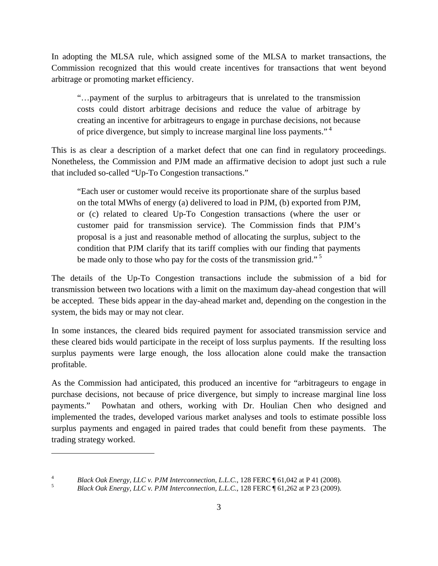In adopting the MLSA rule, which assigned some of the MLSA to market transactions, the Commission recognized that this would create incentives for transactions that went beyond arbitrage or promoting market efficiency.

"…payment of the surplus to arbitrageurs that is unrelated to the transmission costs could distort arbitrage decisions and reduce the value of arbitrage by creating an incentive for arbitrageurs to engage in purchase decisions, not because of price divergence, but simply to increase marginal line loss payments."<sup>4</sup>

This is as clear a description of a market defect that one can find in regulatory proceedings. Nonetheless, the Commission and PJM made an affirmative decision to adopt just such a rule that included so-called "Up-To Congestion transactions."

"Each user or customer would receive its proportionate share of the surplus based on the total MWhs of energy (a) delivered to load in PJM, (b) exported from PJM, or (c) related to cleared Up-To Congestion transactions (where the user or customer paid for transmission service). The Commission finds that PJM's proposal is a just and reasonable method of allocating the surplus, subject to the condition that PJM clarify that its tariff complies with our finding that payments be made only to those who pay for the costs of the transmission grid."<sup>5</sup>

The details of the Up-To Congestion transactions include the submission of a bid for transmission between two locations with a limit on the maximum day-ahead congestion that will be accepted. These bids appear in the day-ahead market and, depending on the congestion in the system, the bids may or may not clear.

In some instances, the cleared bids required payment for associated transmission service and these cleared bids would participate in the receipt of loss surplus payments. If the resulting loss surplus payments were large enough, the loss allocation alone could make the transaction profitable.

As the Commission had anticipated, this produced an incentive for "arbitrageurs to engage in purchase decisions, not because of price divergence, but simply to increase marginal line loss payments." Powhatan and others, working with Dr. Houlian Chen who designed and implemented the trades, developed various market analyses and tools to estimate possible loss surplus payments and engaged in paired trades that could benefit from these payments. The trading strategy worked.

<sup>4</sup> <sup>4</sup><br>*Black Oak Energy, LLC v. PJM Interconnection, L.L.C.*, 128 FERC ¶ 61,042 at P 41 (2008).

*Black Oak Energy, LLC v. PJM Interconnection, L.L.C.*, 128 FERC ¶ 61,262 at P 23 (2009).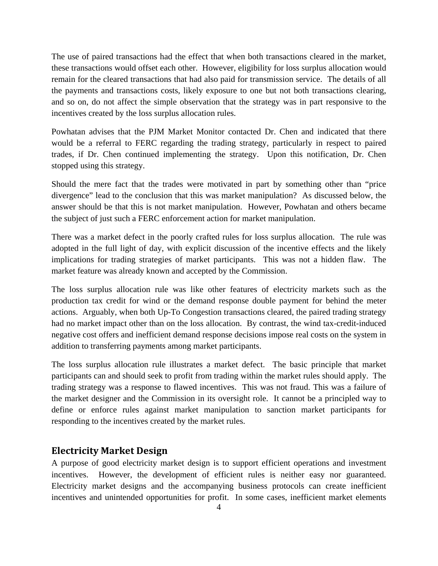The use of paired transactions had the effect that when both transactions cleared in the market, these transactions would offset each other. However, eligibility for loss surplus allocation would remain for the cleared transactions that had also paid for transmission service. The details of all the payments and transactions costs, likely exposure to one but not both transactions clearing, and so on, do not affect the simple observation that the strategy was in part responsive to the incentives created by the loss surplus allocation rules.

Powhatan advises that the PJM Market Monitor contacted Dr. Chen and indicated that there would be a referral to FERC regarding the trading strategy, particularly in respect to paired trades, if Dr. Chen continued implementing the strategy. Upon this notification, Dr. Chen stopped using this strategy.

Should the mere fact that the trades were motivated in part by something other than "price divergence" lead to the conclusion that this was market manipulation? As discussed below, the answer should be that this is not market manipulation. However, Powhatan and others became the subject of just such a FERC enforcement action for market manipulation.

There was a market defect in the poorly crafted rules for loss surplus allocation. The rule was adopted in the full light of day, with explicit discussion of the incentive effects and the likely implications for trading strategies of market participants. This was not a hidden flaw. The market feature was already known and accepted by the Commission.

The loss surplus allocation rule was like other features of electricity markets such as the production tax credit for wind or the demand response double payment for behind the meter actions. Arguably, when both Up-To Congestion transactions cleared, the paired trading strategy had no market impact other than on the loss allocation. By contrast, the wind tax-credit-induced negative cost offers and inefficient demand response decisions impose real costs on the system in addition to transferring payments among market participants.

The loss surplus allocation rule illustrates a market defect. The basic principle that market participants can and should seek to profit from trading within the market rules should apply. The trading strategy was a response to flawed incentives. This was not fraud. This was a failure of the market designer and the Commission in its oversight role. It cannot be a principled way to define or enforce rules against market manipulation to sanction market participants for responding to the incentives created by the market rules.

## **Electricity Market Design**

A purpose of good electricity market design is to support efficient operations and investment incentives. However, the development of efficient rules is neither easy nor guaranteed. Electricity market designs and the accompanying business protocols can create inefficient incentives and unintended opportunities for profit. In some cases, inefficient market elements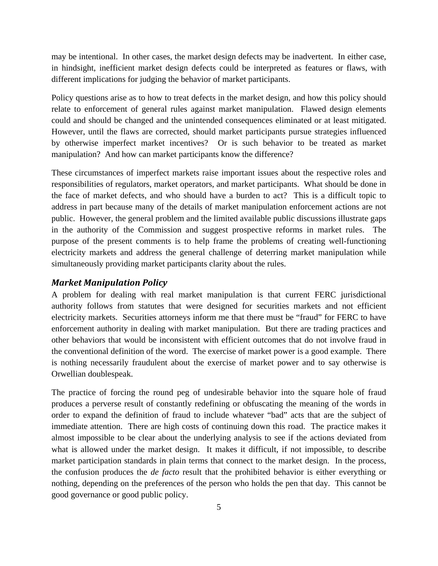may be intentional. In other cases, the market design defects may be inadvertent. In either case, in hindsight, inefficient market design defects could be interpreted as features or flaws, with different implications for judging the behavior of market participants.

Policy questions arise as to how to treat defects in the market design, and how this policy should relate to enforcement of general rules against market manipulation. Flawed design elements could and should be changed and the unintended consequences eliminated or at least mitigated. However, until the flaws are corrected, should market participants pursue strategies influenced by otherwise imperfect market incentives? Or is such behavior to be treated as market manipulation? And how can market participants know the difference?

These circumstances of imperfect markets raise important issues about the respective roles and responsibilities of regulators, market operators, and market participants. What should be done in the face of market defects, and who should have a burden to act? This is a difficult topic to address in part because many of the details of market manipulation enforcement actions are not public. However, the general problem and the limited available public discussions illustrate gaps in the authority of the Commission and suggest prospective reforms in market rules. The purpose of the present comments is to help frame the problems of creating well-functioning electricity markets and address the general challenge of deterring market manipulation while simultaneously providing market participants clarity about the rules.

#### *Market Manipulation Policy*

A problem for dealing with real market manipulation is that current FERC jurisdictional authority follows from statutes that were designed for securities markets and not efficient electricity markets. Securities attorneys inform me that there must be "fraud" for FERC to have enforcement authority in dealing with market manipulation. But there are trading practices and other behaviors that would be inconsistent with efficient outcomes that do not involve fraud in the conventional definition of the word. The exercise of market power is a good example. There is nothing necessarily fraudulent about the exercise of market power and to say otherwise is Orwellian doublespeak.

The practice of forcing the round peg of undesirable behavior into the square hole of fraud produces a perverse result of constantly redefining or obfuscating the meaning of the words in order to expand the definition of fraud to include whatever "bad" acts that are the subject of immediate attention. There are high costs of continuing down this road. The practice makes it almost impossible to be clear about the underlying analysis to see if the actions deviated from what is allowed under the market design. It makes it difficult, if not impossible, to describe market participation standards in plain terms that connect to the market design. In the process, the confusion produces the *de facto* result that the prohibited behavior is either everything or nothing, depending on the preferences of the person who holds the pen that day. This cannot be good governance or good public policy.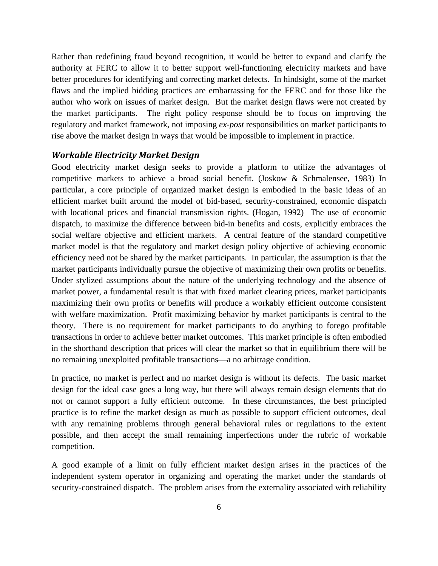Rather than redefining fraud beyond recognition, it would be better to expand and clarify the authority at FERC to allow it to better support well-functioning electricity markets and have better procedures for identifying and correcting market defects. In hindsight, some of the market flaws and the implied bidding practices are embarrassing for the FERC and for those like the author who work on issues of market design. But the market design flaws were not created by the market participants. The right policy response should be to focus on improving the regulatory and market framework, not imposing *ex-post* responsibilities on market participants to rise above the market design in ways that would be impossible to implement in practice.

#### *Workable Electricity Market Design*

Good electricity market design seeks to provide a platform to utilize the advantages of competitive markets to achieve a broad social benefit. (Joskow & Schmalensee, 1983) In particular, a core principle of organized market design is embodied in the basic ideas of an efficient market built around the model of bid-based, security-constrained, economic dispatch with locational prices and financial transmission rights. (Hogan, 1992) The use of economic dispatch, to maximize the difference between bid-in benefits and costs, explicitly embraces the social welfare objective and efficient markets. A central feature of the standard competitive market model is that the regulatory and market design policy objective of achieving economic efficiency need not be shared by the market participants. In particular, the assumption is that the market participants individually pursue the objective of maximizing their own profits or benefits. Under stylized assumptions about the nature of the underlying technology and the absence of market power, a fundamental result is that with fixed market clearing prices, market participants maximizing their own profits or benefits will produce a workably efficient outcome consistent with welfare maximization. Profit maximizing behavior by market participants is central to the theory. There is no requirement for market participants to do anything to forego profitable transactions in order to achieve better market outcomes. This market principle is often embodied in the shorthand description that prices will clear the market so that in equilibrium there will be no remaining unexploited profitable transactions—a no arbitrage condition.

In practice, no market is perfect and no market design is without its defects. The basic market design for the ideal case goes a long way, but there will always remain design elements that do not or cannot support a fully efficient outcome. In these circumstances, the best principled practice is to refine the market design as much as possible to support efficient outcomes, deal with any remaining problems through general behavioral rules or regulations to the extent possible, and then accept the small remaining imperfections under the rubric of workable competition.

A good example of a limit on fully efficient market design arises in the practices of the independent system operator in organizing and operating the market under the standards of security-constrained dispatch. The problem arises from the externality associated with reliability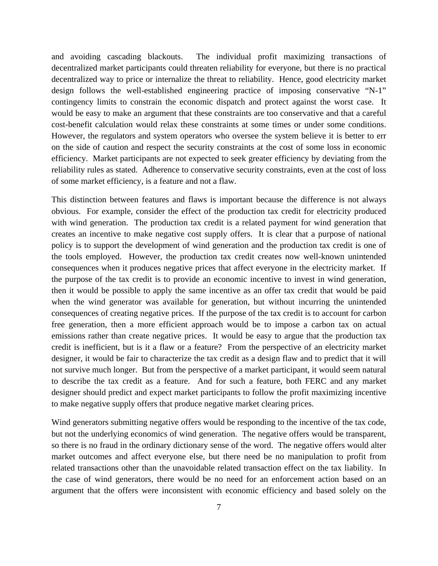and avoiding cascading blackouts. The individual profit maximizing transactions of decentralized market participants could threaten reliability for everyone, but there is no practical decentralized way to price or internalize the threat to reliability. Hence, good electricity market design follows the well-established engineering practice of imposing conservative "N-1" contingency limits to constrain the economic dispatch and protect against the worst case. It would be easy to make an argument that these constraints are too conservative and that a careful cost-benefit calculation would relax these constraints at some times or under some conditions. However, the regulators and system operators who oversee the system believe it is better to err on the side of caution and respect the security constraints at the cost of some loss in economic efficiency. Market participants are not expected to seek greater efficiency by deviating from the reliability rules as stated. Adherence to conservative security constraints, even at the cost of loss of some market efficiency, is a feature and not a flaw.

This distinction between features and flaws is important because the difference is not always obvious. For example, consider the effect of the production tax credit for electricity produced with wind generation. The production tax credit is a related payment for wind generation that creates an incentive to make negative cost supply offers. It is clear that a purpose of national policy is to support the development of wind generation and the production tax credit is one of the tools employed. However, the production tax credit creates now well-known unintended consequences when it produces negative prices that affect everyone in the electricity market. If the purpose of the tax credit is to provide an economic incentive to invest in wind generation, then it would be possible to apply the same incentive as an offer tax credit that would be paid when the wind generator was available for generation, but without incurring the unintended consequences of creating negative prices. If the purpose of the tax credit is to account for carbon free generation, then a more efficient approach would be to impose a carbon tax on actual emissions rather than create negative prices. It would be easy to argue that the production tax credit is inefficient, but is it a flaw or a feature? From the perspective of an electricity market designer, it would be fair to characterize the tax credit as a design flaw and to predict that it will not survive much longer. But from the perspective of a market participant, it would seem natural to describe the tax credit as a feature. And for such a feature, both FERC and any market designer should predict and expect market participants to follow the profit maximizing incentive to make negative supply offers that produce negative market clearing prices.

Wind generators submitting negative offers would be responding to the incentive of the tax code, but not the underlying economics of wind generation. The negative offers would be transparent, so there is no fraud in the ordinary dictionary sense of the word. The negative offers would alter market outcomes and affect everyone else, but there need be no manipulation to profit from related transactions other than the unavoidable related transaction effect on the tax liability. In the case of wind generators, there would be no need for an enforcement action based on an argument that the offers were inconsistent with economic efficiency and based solely on the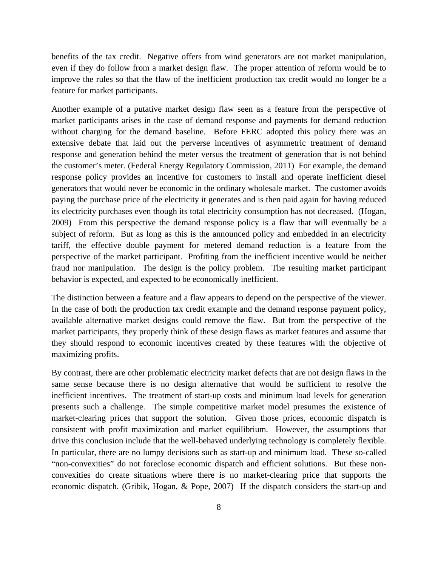benefits of the tax credit. Negative offers from wind generators are not market manipulation, even if they do follow from a market design flaw. The proper attention of reform would be to improve the rules so that the flaw of the inefficient production tax credit would no longer be a feature for market participants.

Another example of a putative market design flaw seen as a feature from the perspective of market participants arises in the case of demand response and payments for demand reduction without charging for the demand baseline. Before FERC adopted this policy there was an extensive debate that laid out the perverse incentives of asymmetric treatment of demand response and generation behind the meter versus the treatment of generation that is not behind the customer's meter. (Federal Energy Regulatory Commission, 2011) For example, the demand response policy provides an incentive for customers to install and operate inefficient diesel generators that would never be economic in the ordinary wholesale market. The customer avoids paying the purchase price of the electricity it generates and is then paid again for having reduced its electricity purchases even though its total electricity consumption has not decreased. (Hogan, 2009) From this perspective the demand response policy is a flaw that will eventually be a subject of reform. But as long as this is the announced policy and embedded in an electricity tariff, the effective double payment for metered demand reduction is a feature from the perspective of the market participant. Profiting from the inefficient incentive would be neither fraud nor manipulation. The design is the policy problem. The resulting market participant behavior is expected, and expected to be economically inefficient.

The distinction between a feature and a flaw appears to depend on the perspective of the viewer. In the case of both the production tax credit example and the demand response payment policy, available alternative market designs could remove the flaw. But from the perspective of the market participants, they properly think of these design flaws as market features and assume that they should respond to economic incentives created by these features with the objective of maximizing profits.

By contrast, there are other problematic electricity market defects that are not design flaws in the same sense because there is no design alternative that would be sufficient to resolve the inefficient incentives. The treatment of start-up costs and minimum load levels for generation presents such a challenge. The simple competitive market model presumes the existence of market-clearing prices that support the solution. Given those prices, economic dispatch is consistent with profit maximization and market equilibrium. However, the assumptions that drive this conclusion include that the well-behaved underlying technology is completely flexible. In particular, there are no lumpy decisions such as start-up and minimum load. These so-called "non-convexities" do not foreclose economic dispatch and efficient solutions. But these nonconvexities do create situations where there is no market-clearing price that supports the economic dispatch. (Gribik, Hogan, & Pope, 2007) If the dispatch considers the start-up and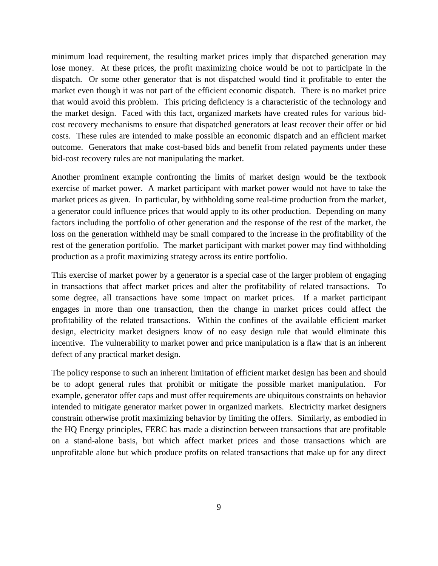minimum load requirement, the resulting market prices imply that dispatched generation may lose money. At these prices, the profit maximizing choice would be not to participate in the dispatch. Or some other generator that is not dispatched would find it profitable to enter the market even though it was not part of the efficient economic dispatch. There is no market price that would avoid this problem. This pricing deficiency is a characteristic of the technology and the market design. Faced with this fact, organized markets have created rules for various bidcost recovery mechanisms to ensure that dispatched generators at least recover their offer or bid costs. These rules are intended to make possible an economic dispatch and an efficient market outcome. Generators that make cost-based bids and benefit from related payments under these bid-cost recovery rules are not manipulating the market.

Another prominent example confronting the limits of market design would be the textbook exercise of market power. A market participant with market power would not have to take the market prices as given. In particular, by withholding some real-time production from the market, a generator could influence prices that would apply to its other production. Depending on many factors including the portfolio of other generation and the response of the rest of the market, the loss on the generation withheld may be small compared to the increase in the profitability of the rest of the generation portfolio. The market participant with market power may find withholding production as a profit maximizing strategy across its entire portfolio.

This exercise of market power by a generator is a special case of the larger problem of engaging in transactions that affect market prices and alter the profitability of related transactions. To some degree, all transactions have some impact on market prices. If a market participant engages in more than one transaction, then the change in market prices could affect the profitability of the related transactions. Within the confines of the available efficient market design, electricity market designers know of no easy design rule that would eliminate this incentive. The vulnerability to market power and price manipulation is a flaw that is an inherent defect of any practical market design.

The policy response to such an inherent limitation of efficient market design has been and should be to adopt general rules that prohibit or mitigate the possible market manipulation. For example, generator offer caps and must offer requirements are ubiquitous constraints on behavior intended to mitigate generator market power in organized markets. Electricity market designers constrain otherwise profit maximizing behavior by limiting the offers. Similarly, as embodied in the HQ Energy principles, FERC has made a distinction between transactions that are profitable on a stand-alone basis, but which affect market prices and those transactions which are unprofitable alone but which produce profits on related transactions that make up for any direct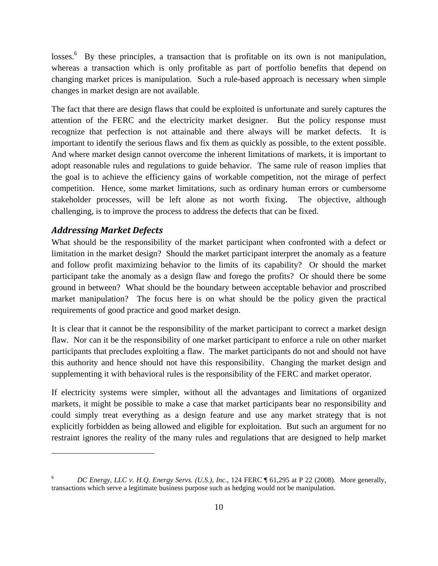losses.<sup>6</sup> By these principles, a transaction that is profitable on its own is not manipulation, whereas a transaction which is only profitable as part of portfolio benefits that depend on changing market prices is manipulation. Such a rule-based approach is necessary when simple changes in market design are not available.

The fact that there are design flaws that could be exploited is unfortunate and surely captures the attention of the FERC and the electricity market designer. But the policy response must recognize that perfection is not attainable and there always will be market defects. It is important to identify the serious flaws and fix them as quickly as possible, to the extent possible. And where market design cannot overcome the inherent limitations of markets, it is important to adopt reasonable rules and regulations to guide behavior. The same rule of reason implies that the goal is to achieve the efficiency gains of workable competition, not the mirage of perfect competition. Hence, some market limitations, such as ordinary human errors or cumbersome stakeholder processes, will be left alone as not worth fixing. The objective, although challenging, is to improve the process to address the defects that can be fixed.

#### *Addressing Market Defects*

 $\overline{a}$ 

What should be the responsibility of the market participant when confronted with a defect or limitation in the market design? Should the market participant interpret the anomaly as a feature and follow profit maximizing behavior to the limits of its capability? Or should the market participant take the anomaly as a design flaw and forego the profits? Or should there be some ground in between? What should be the boundary between acceptable behavior and proscribed market manipulation? The focus here is on what should be the policy given the practical requirements of good practice and good market design.

It is clear that it cannot be the responsibility of the market participant to correct a market design flaw. Nor can it be the responsibility of one market participant to enforce a rule on other market participants that precludes exploiting a flaw. The market participants do not and should not have this authority and hence should not have this responsibility. Changing the market design and supplementing it with behavioral rules is the responsibility of the FERC and market operator.

If electricity systems were simpler, without all the advantages and limitations of organized markets, it might be possible to make a case that market participants bear no responsibility and could simply treat everything as a design feature and use any market strategy that is not explicitly forbidden as being allowed and eligible for exploitation. But such an argument for no restraint ignores the reality of the many rules and regulations that are designed to help market

<sup>6</sup> *DC Energy, LLC v. H.Q. Energy Servs. (U.S.), Inc.*, 124 FERC ¶ 61,295 at P 22 (2008). More generally, transactions which serve a legitimate business purpose such as hedging would not be manipulation.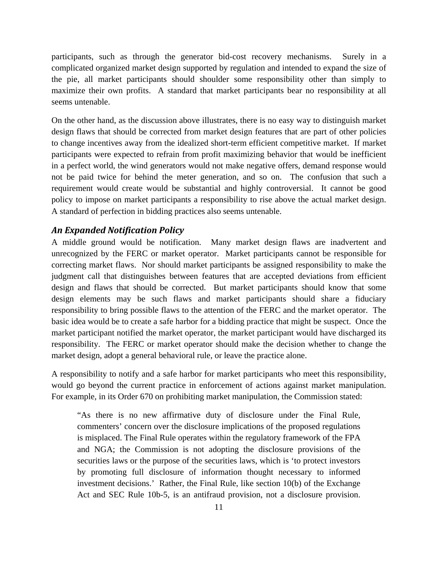participants, such as through the generator bid-cost recovery mechanisms. Surely in a complicated organized market design supported by regulation and intended to expand the size of the pie, all market participants should shoulder some responsibility other than simply to maximize their own profits. A standard that market participants bear no responsibility at all seems untenable.

On the other hand, as the discussion above illustrates, there is no easy way to distinguish market design flaws that should be corrected from market design features that are part of other policies to change incentives away from the idealized short-term efficient competitive market. If market participants were expected to refrain from profit maximizing behavior that would be inefficient in a perfect world, the wind generators would not make negative offers, demand response would not be paid twice for behind the meter generation, and so on. The confusion that such a requirement would create would be substantial and highly controversial. It cannot be good policy to impose on market participants a responsibility to rise above the actual market design. A standard of perfection in bidding practices also seems untenable.

#### *An Expanded Notification Policy*

A middle ground would be notification. Many market design flaws are inadvertent and unrecognized by the FERC or market operator. Market participants cannot be responsible for correcting market flaws. Nor should market participants be assigned responsibility to make the judgment call that distinguishes between features that are accepted deviations from efficient design and flaws that should be corrected. But market participants should know that some design elements may be such flaws and market participants should share a fiduciary responsibility to bring possible flaws to the attention of the FERC and the market operator. The basic idea would be to create a safe harbor for a bidding practice that might be suspect. Once the market participant notified the market operator, the market participant would have discharged its responsibility. The FERC or market operator should make the decision whether to change the market design, adopt a general behavioral rule, or leave the practice alone.

A responsibility to notify and a safe harbor for market participants who meet this responsibility, would go beyond the current practice in enforcement of actions against market manipulation. For example, in its Order 670 on prohibiting market manipulation, the Commission stated:

"As there is no new affirmative duty of disclosure under the Final Rule, commenters' concern over the disclosure implications of the proposed regulations is misplaced. The Final Rule operates within the regulatory framework of the FPA and NGA; the Commission is not adopting the disclosure provisions of the securities laws or the purpose of the securities laws, which is 'to protect investors by promoting full disclosure of information thought necessary to informed investment decisions.' Rather, the Final Rule, like section 10(b) of the Exchange Act and SEC Rule 10b-5, is an antifraud provision, not a disclosure provision.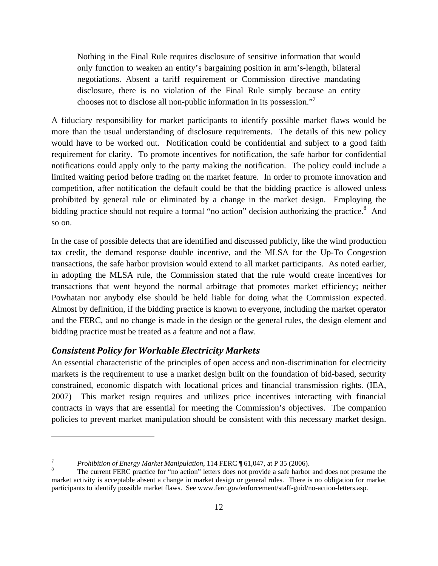Nothing in the Final Rule requires disclosure of sensitive information that would only function to weaken an entity's bargaining position in arm's-length, bilateral negotiations. Absent a tariff requirement or Commission directive mandating disclosure, there is no violation of the Final Rule simply because an entity chooses not to disclose all non-public information in its possession."

A fiduciary responsibility for market participants to identify possible market flaws would be more than the usual understanding of disclosure requirements. The details of this new policy would have to be worked out. Notification could be confidential and subject to a good faith requirement for clarity. To promote incentives for notification, the safe harbor for confidential notifications could apply only to the party making the notification. The policy could include a limited waiting period before trading on the market feature. In order to promote innovation and competition, after notification the default could be that the bidding practice is allowed unless prohibited by general rule or eliminated by a change in the market design. Employing the bidding practice should not require a formal "no action" decision authorizing the practice.<sup>8</sup> And so on.

In the case of possible defects that are identified and discussed publicly, like the wind production tax credit, the demand response double incentive, and the MLSA for the Up-To Congestion transactions, the safe harbor provision would extend to all market participants. As noted earlier, in adopting the MLSA rule, the Commission stated that the rule would create incentives for transactions that went beyond the normal arbitrage that promotes market efficiency; neither Powhatan nor anybody else should be held liable for doing what the Commission expected. Almost by definition, if the bidding practice is known to everyone, including the market operator and the FERC, and no change is made in the design or the general rules, the design element and bidding practice must be treated as a feature and not a flaw.

## *Consistent Policy for Workable Electricity Markets*

 $\overline{a}$ 

An essential characteristic of the principles of open access and non-discrimination for electricity markets is the requirement to use a market design built on the foundation of bid-based, security constrained, economic dispatch with locational prices and financial transmission rights. (IEA, 2007) This market resign requires and utilizes price incentives interacting with financial contracts in ways that are essential for meeting the Commission's objectives. The companion policies to prevent market manipulation should be consistent with this necessary market design.

<sup>7</sup> *Prohibition of Energy Market Manipulation*, 114 FERC ¶ 61,047, at P 35 (2006).

The current FERC practice for "no action" letters does not provide a safe harbor and does not presume the market activity is acceptable absent a change in market design or general rules. There is no obligation for market participants to identify possible market flaws. See www.ferc.gov/enforcement/staff-guid/no-action-letters.asp.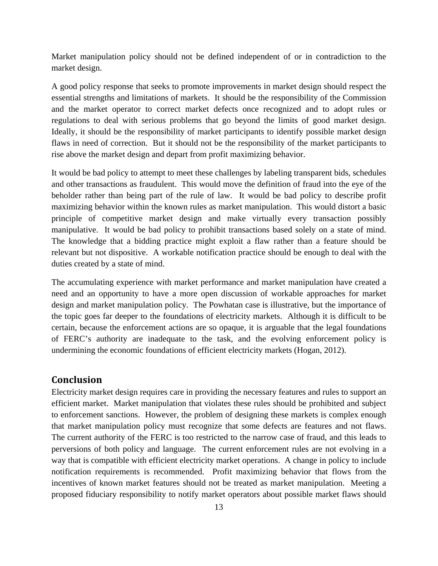Market manipulation policy should not be defined independent of or in contradiction to the market design.

A good policy response that seeks to promote improvements in market design should respect the essential strengths and limitations of markets. It should be the responsibility of the Commission and the market operator to correct market defects once recognized and to adopt rules or regulations to deal with serious problems that go beyond the limits of good market design. Ideally, it should be the responsibility of market participants to identify possible market design flaws in need of correction. But it should not be the responsibility of the market participants to rise above the market design and depart from profit maximizing behavior.

It would be bad policy to attempt to meet these challenges by labeling transparent bids, schedules and other transactions as fraudulent. This would move the definition of fraud into the eye of the beholder rather than being part of the rule of law. It would be bad policy to describe profit maximizing behavior within the known rules as market manipulation. This would distort a basic principle of competitive market design and make virtually every transaction possibly manipulative. It would be bad policy to prohibit transactions based solely on a state of mind. The knowledge that a bidding practice might exploit a flaw rather than a feature should be relevant but not dispositive. A workable notification practice should be enough to deal with the duties created by a state of mind.

The accumulating experience with market performance and market manipulation have created a need and an opportunity to have a more open discussion of workable approaches for market design and market manipulation policy. The Powhatan case is illustrative, but the importance of the topic goes far deeper to the foundations of electricity markets. Although it is difficult to be certain, because the enforcement actions are so opaque, it is arguable that the legal foundations of FERC's authority are inadequate to the task, and the evolving enforcement policy is undermining the economic foundations of efficient electricity markets (Hogan, 2012).

### **Conclusion**

Electricity market design requires care in providing the necessary features and rules to support an efficient market. Market manipulation that violates these rules should be prohibited and subject to enforcement sanctions. However, the problem of designing these markets is complex enough that market manipulation policy must recognize that some defects are features and not flaws. The current authority of the FERC is too restricted to the narrow case of fraud, and this leads to perversions of both policy and language. The current enforcement rules are not evolving in a way that is compatible with efficient electricity market operations. A change in policy to include notification requirements is recommended. Profit maximizing behavior that flows from the incentives of known market features should not be treated as market manipulation. Meeting a proposed fiduciary responsibility to notify market operators about possible market flaws should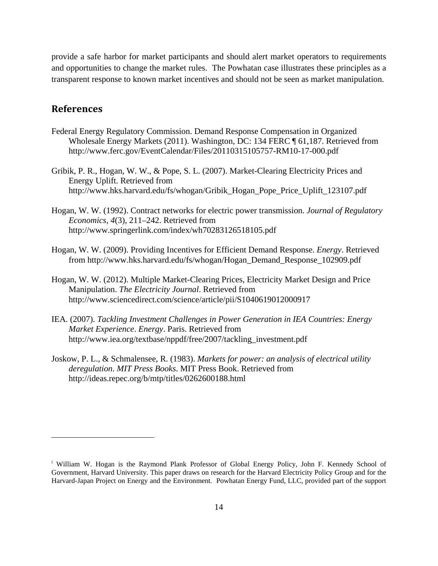provide a safe harbor for market participants and should alert market operators to requirements and opportunities to change the market rules. The Powhatan case illustrates these principles as a transparent response to known market incentives and should not be seen as market manipulation.

## **References**

- Federal Energy Regulatory Commission. Demand Response Compensation in Organized Wholesale Energy Markets (2011). Washington, DC: 134 FERC ¶ 61,187. Retrieved from http://www.ferc.gov/EventCalendar/Files/20110315105757-RM10-17-000.pdf
- Gribik, P. R., Hogan, W. W., & Pope, S. L. (2007). Market-Clearing Electricity Prices and Energy Uplift. Retrieved from http://www.hks.harvard.edu/fs/whogan/Gribik\_Hogan\_Pope\_Price\_Uplift\_123107.pdf
- Hogan, W. W. (1992). Contract networks for electric power transmission. *Journal of Regulatory Economics*, *4*(3), 211–242. Retrieved from http://www.springerlink.com/index/wh70283126518105.pdf
- Hogan, W. W. (2009). Providing Incentives for Efficient Demand Response. *Energy*. Retrieved from http://www.hks.harvard.edu/fs/whogan/Hogan\_Demand\_Response\_102909.pdf
- Hogan, W. W. (2012). Multiple Market-Clearing Prices, Electricity Market Design and Price Manipulation. *The Electricity Journal*. Retrieved from http://www.sciencedirect.com/science/article/pii/S1040619012000917
- IEA. (2007). *Tackling Investment Challenges in Power Generation in IEA Countries: Energy Market Experience*. *Energy*. Paris. Retrieved from http://www.iea.org/textbase/nppdf/free/2007/tackling\_investment.pdf
- Joskow, P. L., & Schmalensee, R. (1983). *Markets for power: an analysis of electrical utility deregulation*. *MIT Press Books*. MIT Press Book. Retrieved from http://ideas.repec.org/b/mtp/titles/0262600188.html

<sup>&</sup>lt;sup>i</sup> William W. Hogan is the Raymond Plank Professor of Global Energy Policy, John F. Kennedy School of Government, Harvard University. This paper draws on research for the Harvard Electricity Policy Group and for the Harvard-Japan Project on Energy and the Environment. Powhatan Energy Fund, LLC, provided part of the support